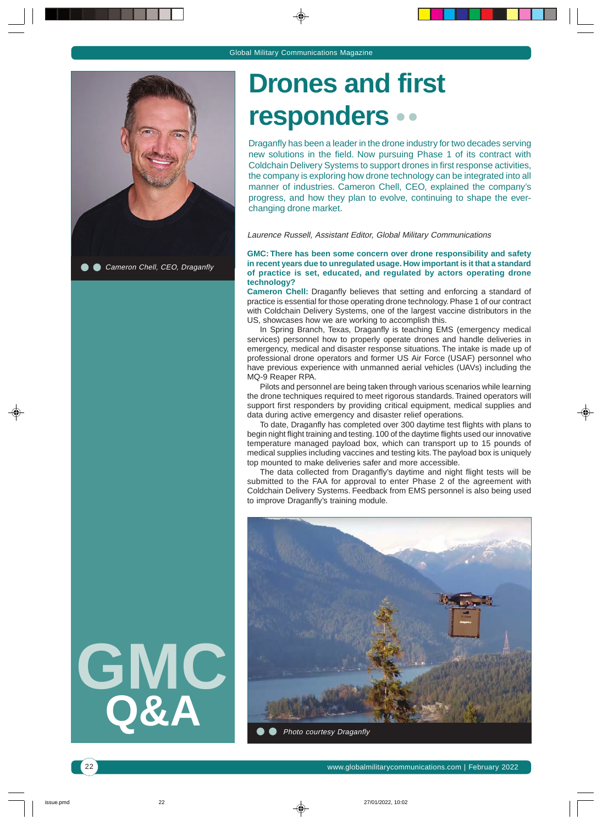

Cameron Chell, CEO, Draganfly



## **Drones and first responders**

Draganfly has been a leader in the drone industry for two decades serving new solutions in the field. Now pursuing Phase 1 of its contract with Coldchain Delivery Systems to support drones in first response activities, the company is exploring how drone technology can be integrated into all manner of industries. Cameron Chell, CEO, explained the company's progress, and how they plan to evolve, continuing to shape the everchanging drone market.

Laurence Russell, Assistant Editor, Global Military Communications

#### **GMC: There has been some concern over drone responsibility and safety in recent years due to unregulated usage. How important is it that a standard of practice is set, educated, and regulated by actors operating drone technology?**

**Cameron Chell:** Draganfly believes that setting and enforcing a standard of practice is essential for those operating drone technology. Phase 1 of our contract with Coldchain Delivery Systems, one of the largest vaccine distributors in the US, showcases how we are working to accomplish this.

In Spring Branch, Texas, Draganfly is teaching EMS (emergency medical services) personnel how to properly operate drones and handle deliveries in emergency, medical and disaster response situations. The intake is made up of professional drone operators and former US Air Force (USAF) personnel who have previous experience with unmanned aerial vehicles (UAVs) including the MQ-9 Reaper RPA.

Pilots and personnel are being taken through various scenarios while learning the drone techniques required to meet rigorous standards. Trained operators will support first responders by providing critical equipment, medical supplies and data during active emergency and disaster relief operations.

To date, Draganfly has completed over 300 daytime test flights with plans to begin night flight training and testing. 100 of the daytime flights used our innovative temperature managed payload box, which can transport up to 15 pounds of medical supplies including vaccines and testing kits. The payload box is uniquely top mounted to make deliveries safer and more accessible.

The data collected from Draganfly's daytime and night flight tests will be submitted to the FAA for approval to enter Phase 2 of the agreement with Coldchain Delivery Systems. Feedback from EMS personnel is also being used to improve Draganfly's training module.

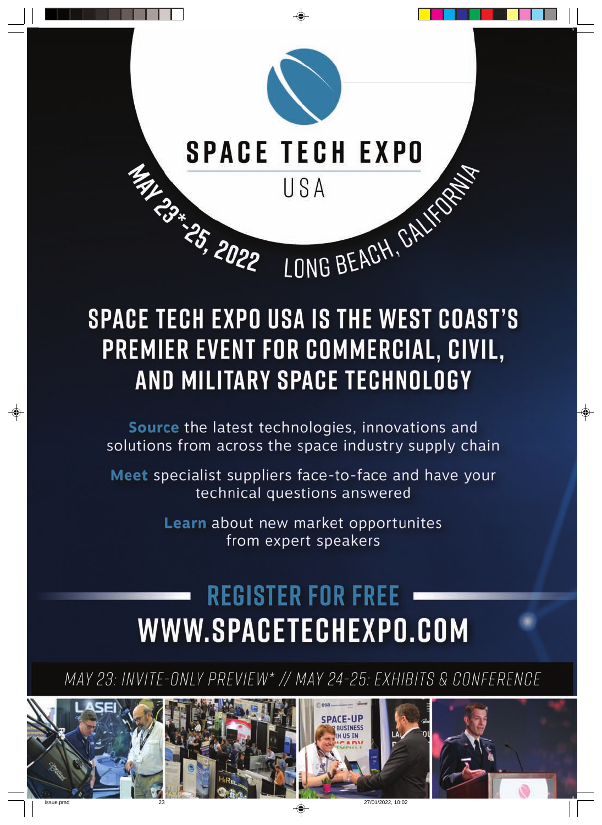

# **SPACE TECH EXPO USA IS THE WEST COAST'S** PREMIER EVENT FOR COMMERCIAL, CIVIL, AND MILITARY SPACE TECHNOLOGY

Source the latest technologies, innovations and solutions from across the space industry supply chain

Meet specialist suppliers face-to-face and have your technical questions answered

> Learn about new market opportunites from expert speakers

# **REGISTER FOR FREE** WWW.SPACETECHEXPO.COM

MAY 23: INVITE-ONLY PREVIEW\* // MAY 24-25: EXHIBITS & CONFERENCE

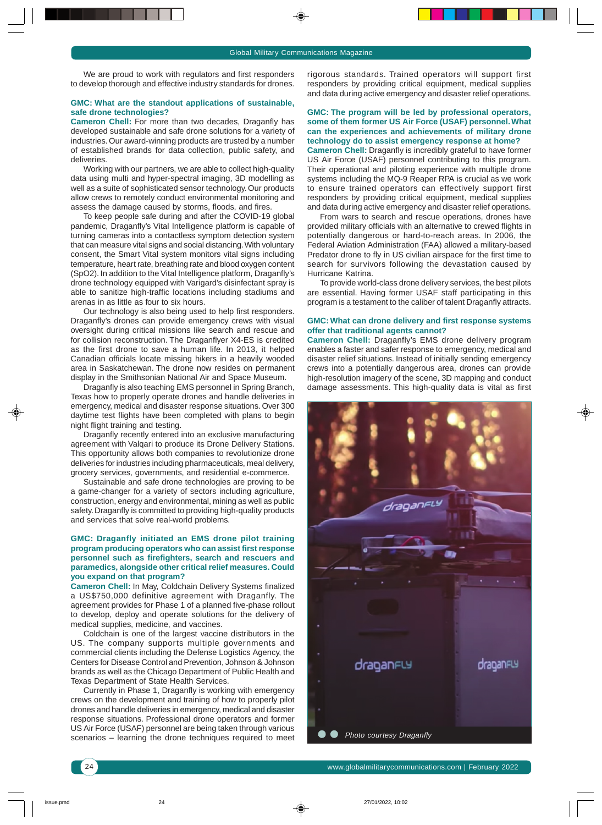We are proud to work with regulators and first responders to develop thorough and effective industry standards for drones.

#### **GMC: What are the standout applications of sustainable, safe drone technologies?**

**Cameron Chell:** For more than two decades, Draganfly has developed sustainable and safe drone solutions for a variety of industries. Our award-winning products are trusted by a number of established brands for data collection, public safety, and deliveries.

Working with our partners, we are able to collect high-quality data using multi and hyper-spectral imaging, 3D modelling as well as a suite of sophisticated sensor technology. Our products allow crews to remotely conduct environmental monitoring and assess the damage caused by storms, floods, and fires.

To keep people safe during and after the COVID-19 global pandemic, Draganfly's Vital Intelligence platform is capable of turning cameras into a contactless symptom detection system that can measure vital signs and social distancing. With voluntary consent, the Smart Vital system monitors vital signs including temperature, heart rate, breathing rate and blood oxygen content (SpO2). In addition to the Vital Intelligence platform, Draganfly's drone technology equipped with Varigard's disinfectant spray is able to sanitize high-traffic locations including stadiums and arenas in as little as four to six hours.

Our technology is also being used to help first responders. Draganfly's drones can provide emergency crews with visual oversight during critical missions like search and rescue and for collision reconstruction. The Draganflyer X4-ES is credited as the first drone to save a human life. In 2013, it helped Canadian officials locate missing hikers in a heavily wooded area in Saskatchewan. The drone now resides on permanent display in the Smithsonian National Air and Space Museum.

Draganfly is also teaching EMS personnel in Spring Branch, Texas how to properly operate drones and handle deliveries in emergency, medical and disaster response situations. Over 300 daytime test flights have been completed with plans to begin night flight training and testing.

Draganfly recently entered into an exclusive manufacturing agreement with Valqari to produce its Drone Delivery Stations. This opportunity allows both companies to revolutionize drone deliveries for industries including pharmaceuticals, meal delivery, grocery services, governments, and residential e-commerce.

Sustainable and safe drone technologies are proving to be a game-changer for a variety of sectors including agriculture, construction, energy and environmental, mining as well as public safety. Draganfly is committed to providing high-quality products and services that solve real-world problems.

#### **GMC: Draganfly initiated an EMS drone pilot training program producing operators who can assist first response personnel such as firefighters, search and rescuers and paramedics, alongside other critical relief measures. Could you expand on that program?**

**Cameron Chell:** In May, Coldchain Delivery Systems finalized a US\$750,000 definitive agreement with Draganfly. The agreement provides for Phase 1 of a planned five-phase rollout to develop, deploy and operate solutions for the delivery of medical supplies, medicine, and vaccines.

Coldchain is one of the largest vaccine distributors in the US. The company supports multiple governments and commercial clients including the Defense Logistics Agency, the Centers for Disease Control and Prevention, Johnson & Johnson brands as well as the Chicago Department of Public Health and Texas Department of State Health Services.

Currently in Phase 1, Draganfly is working with emergency crews on the development and training of how to properly pilot drones and handle deliveries in emergency, medical and disaster response situations. Professional drone operators and former US Air Force (USAF) personnel are being taken through various scenarios – learning the drone techniques required to meet rigorous standards. Trained operators will support first responders by providing critical equipment, medical supplies and data during active emergency and disaster relief operations.

#### **GMC: The program will be led by professional operators, some of them former US Air Force (USAF) personnel. What can the experiences and achievements of military drone technology do to assist emergency response at home?**

**Cameron Chell:** Draganfly is incredibly grateful to have former US Air Force (USAF) personnel contributing to this program. Their operational and piloting experience with multiple drone systems including the MQ-9 Reaper RPA is crucial as we work to ensure trained operators can effectively support first responders by providing critical equipment, medical supplies and data during active emergency and disaster relief operations.

From wars to search and rescue operations, drones have provided military officials with an alternative to crewed flights in potentially dangerous or hard-to-reach areas. In 2006, the Federal Aviation Administration (FAA) allowed a military-based Predator drone to fly in US civilian airspace for the first time to search for survivors following the devastation caused by Hurricane Katrina.

To provide world-class drone delivery services, the best pilots are essential. Having former USAF staff participating in this program is a testament to the caliber of talent Draganfly attracts.

#### **GMC: What can drone delivery and first response systems offer that traditional agents cannot?**

**Cameron Chell:** Draganfly's EMS drone delivery program enables a faster and safer response to emergency, medical and disaster relief situations. Instead of initially sending emergency crews into a potentially dangerous area, drones can provide high-resolution imagery of the scene, 3D mapping and conduct damage assessments. This high-quality data is vital as first

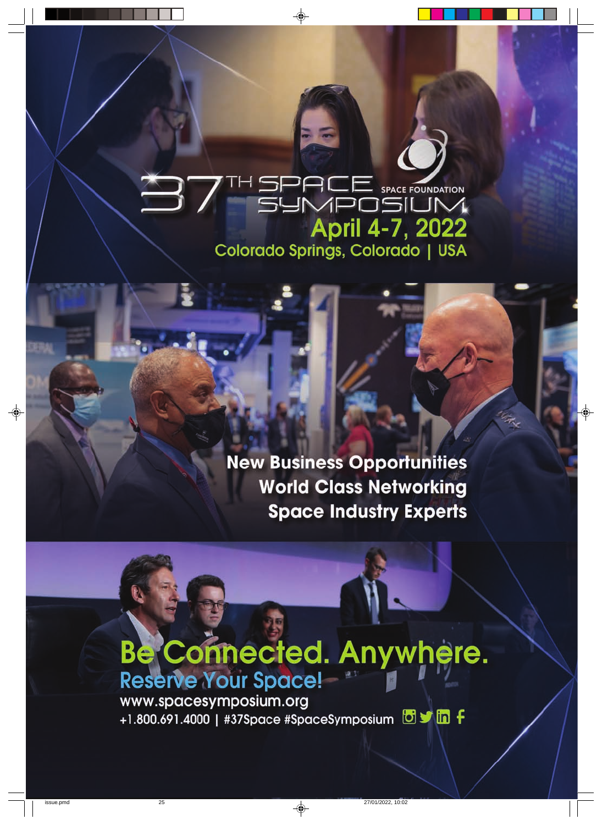### SPACE SPACE FOUNDATION 37 April 4-7, 2022 Colorado Springs, Colorado | USA

**New Business Opportunities World Class Networking Space Industry Experts** 

### **Be Connected. Anywhere. Reserve Your Space!**

www.spacesymposium.org +1.800.691.4000 | #37Space #SpaceSymposium 89